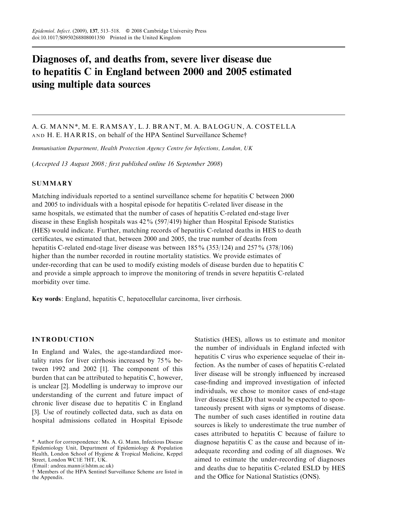# Diagnoses of, and deaths from, severe liver disease due to hepatitis C in England between 2000 and 2005 estimated using multiple data sources

# A. G. MANN \*, M. E. RAMSAY, L. J. BRANT, M. A. BALOGUN, A. COSTELLA AND H. E. HARRIS, on behalf of the HPA Sentinel Surveillance Scheme†

Immunisation Department, Health Protection Agency Centre for Infections, London, UK

(Accepted 13 August 2008 ; first published online 16 September 2008)

#### SUMMARY

Matching individuals reported to a sentinel surveillance scheme for hepatitis C between 2000 and 2005 to individuals with a hospital episode for hepatitis C-related liver disease in the same hospitals, we estimated that the number of cases of hepatitis C-related end-stage liver disease in these English hospitals was 42% (597/419) higher than Hospital Episode Statistics (HES) would indicate. Further, matching records of hepatitis C-related deaths in HES to death certificates, we estimated that, between 2000 and 2005, the true number of deaths from hepatitis C-related end-stage liver disease was between 185% (353/124) and 257% (378/106) higher than the number recorded in routine mortality statistics. We provide estimates of under-recording that can be used to modify existing models of disease burden due to hepatitis C and provide a simple approach to improve the monitoring of trends in severe hepatitis C-related morbidity over time.

Key words: England, hepatitis C, hepatocellular carcinoma, liver cirrhosis.

# INTRODUCTION

In England and Wales, the age-standardized mortality rates for liver cirrhosis increased by 75% between 1992 and 2002 [1]. The component of this burden that can be attributed to hepatitis C, however, is unclear [2]. Modelling is underway to improve our understanding of the current and future impact of chronic liver disease due to hepatitis C in England [3]. Use of routinely collected data, such as data on hospital admissions collated in Hospital Episode

(Email: andrea.mann@lshtm.ac.uk)

Statistics (HES), allows us to estimate and monitor the number of individuals in England infected with hepatitis C virus who experience sequelae of their infection. As the number of cases of hepatitis C-related liver disease will be strongly influenced by increased case-finding and improved investigation of infected individuals, we chose to monitor cases of end-stage liver disease (ESLD) that would be expected to spontaneously present with signs or symptoms of disease. The number of such cases identified in routine data sources is likely to underestimate the true number of cases attributed to hepatitis C because of failure to diagnose hepatitis C as the cause and because of inadequate recording and coding of all diagnoses. We aimed to estimate the under-recording of diagnoses and deaths due to hepatitis C-related ESLD by HES and the Office for National Statistics (ONS).

<sup>\*</sup> Author for correspondence: Ms. A. G. Mann, Infectious Disease Epidemiology Unit, Department of Epidemiology & Population Health, London School of Hygiene & Tropical Medicine, Keppel Street, London WC1E 7HT, UK.

<sup>#</sup> Members of the HPA Sentinel Surveillance Scheme are listed in the Appendix.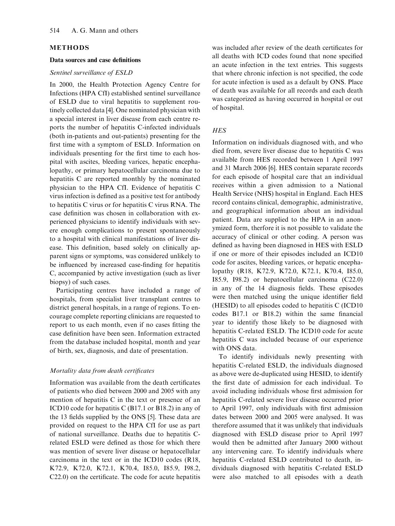## METHODS

#### Data sources and case definitions

#### Sentinel surveillance of ESLD

In 2000, the Health Protection Agency Centre for Infections (HPA CfI) established sentinel surveillance of ESLD due to viral hepatitis to supplement routinely collected data [4]. One nominated physician with a special interest in liver disease from each centre reports the number of hepatitis C-infected individuals (both in-patients and out-patients) presenting for the first time with a symptom of ESLD. Information on individuals presenting for the first time to each hospital with ascites, bleeding varices, hepatic encephalopathy, or primary hepatocellular carcinoma due to hepatitis C are reported monthly by the nominated physician to the HPA CfI. Evidence of hepatitis C virus infection is defined as a positive test for antibody to hepatitis C virus or for hepatitis C virus RNA. The case definition was chosen in collaboration with experienced physicians to identify individuals with severe enough complications to present spontaneously to a hospital with clinical manifestations of liver disease. This definition, based solely on clinically apparent signs or symptoms, was considered unlikely to be influenced by increased case-finding for hepatitis C, accompanied by active investigation (such as liver biopsy) of such cases.

Participating centres have included a range of hospitals, from specialist liver transplant centres to district general hospitals, in a range of regions. To encourage complete reporting clinicians are requested to report to us each month, even if no cases fitting the case definition have been seen. Information extracted from the database included hospital, month and year of birth, sex, diagnosis, and date of presentation.

### Mortality data from death certificates

Information was available from the death certificates of patients who died between 2000 and 2005 with any mention of hepatitis C in the text or presence of an ICD10 code for hepatitis C (B17.1 or B18.2) in any of the 13 fields supplied by the ONS [5]. These data are provided on request to the HPA CfI for use as part of national surveillance. Deaths due to hepatitis Crelated ESLD were defined as those for which there was mention of severe liver disease or hepatocellular carcinoma in the text or in the ICD10 codes (R18, K72.9, K72.0, K72.1, K70.4, I85.0, I85.9, I98.2, C22.0) on the certificate. The code for acute hepatitis was included after review of the death certificates for all deaths with ICD codes found that none specified an acute infection in the text entries. This suggests that where chronic infection is not specified, the code for acute infection is used as a default by ONS. Place of death was available for all records and each death was categorized as having occurred in hospital or out of hospital.

# **HES**

Information on individuals diagnosed with, and who died from, severe liver disease due to hepatitis C was available from HES recorded between 1 April 1997 and 31 March 2006 [6]. HES contain separate records for each episode of hospital care that an individual receives within a given admission to a National Health Service (NHS) hospital in England. Each HES record contains clinical, demographic, administrative, and geographical information about an individual patient. Data are supplied to the HPA in an anonymized form, therfore it is not possible to validate the accuracy of clinical or other coding. A person was defined as having been diagnosed in HES with ESLD if one or more of their episodes included an ICD10 code for ascites, bleeding varices, or hepatic encephalopathy (R18, K72.9, K72.0, K72.1, K70.4, I85.0, I85.9, I98.2) or hepatocellular carcinoma (C22.0) in any of the 14 diagnosis fields. These episodes were then matched using the unique identifier field (HESID) to all episodes coded to hepatitis C (ICD10 codes B17.1 or B18.2) within the same financial year to identify those likely to be diagnosed with hepatitis C-related ESLD. The ICD10 code for acute hepatitis C was included because of our experience with ONS data.

To identify individuals newly presenting with hepatitis C-related ESLD, the individuals diagnosed as above were de-duplicated using HESID, to identify the first date of admission for each individual. To avoid including individuals whose first admission for hepatitis C-related severe liver disease occurred prior to April 1997, only individuals with first admission dates between 2000 and 2005 were analysed. It was therefore assumed that it was unlikely that individuals diagnosed with ESLD disease prior to April 1997 would then be admitted after January 2000 without any intervening care. To identify individuals where hepatitis C-related ESLD contributed to death, individuals diagnosed with hepatitis C-related ESLD were also matched to all episodes with a death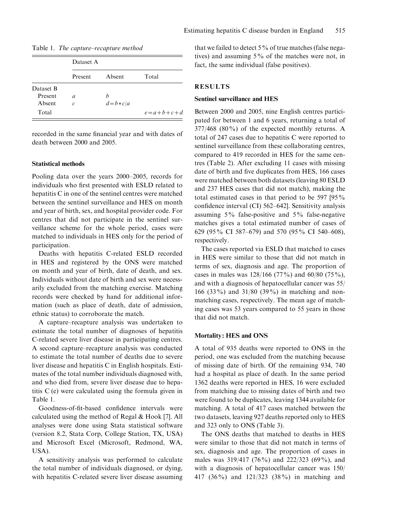| Dataset A |        |       |
|-----------|--------|-------|
| Present   | Absent | Total |

|  |  | Table 1. The capture–recapture method |  |  |
|--|--|---------------------------------------|--|--|
|--|--|---------------------------------------|--|--|

Present *a* b Absent  $c$   $d=b*c/a$ 

recorded in the same financial year and with dates of death between 2000 and 2005.

Total  $e=a+b+c+d$ 

#### Statistical methods

Dataset B

Pooling data over the years 2000–2005, records for individuals who first presented with ESLD related to hepatitis C in one of the sentinel centres were matched between the sentinel surveillance and HES on month and year of birth, sex, and hospital provider code. For centres that did not participate in the sentinel surveillance scheme for the whole period, cases were matched to individuals in HES only for the period of participation.

Deaths with hepatitis C-related ESLD recorded in HES and registered by the ONS were matched on month and year of birth, date of death, and sex. Individuals without date of birth and sex were necessarily excluded from the matching exercise. Matching records were checked by hand for additional information (such as place of death, date of admission, ethnic status) to corroborate the match.

A capture–recapture analysis was undertaken to estimate the total number of diagnoses of hepatitis C-related severe liver disease in participating centres. A second capture–recapture analysis was conducted to estimate the total number of deaths due to severe liver disease and hepatitis C in English hospitals. Estimates of the total number individuals diagnosed with, and who died from, severe liver disease due to hepatitis C (e) were calculated using the formula given in Table 1.

Goodness-of-fit-based confidence intervals were calculated using the method of Regal & Hook [7]. All analyses were done using Stata statistical software (version 8.2, Stata Corp, College Station, TX, USA) and Microsoft Excel (Microsoft, Redmond, WA, USA).

A sensitivity analysis was performed to calculate the total number of individuals diagnosed, or dying, with hepatitis C-related severe liver disease assuming that we failed to detect  $5\%$  of true matches (false negatives) and assuming 5% of the matches were not, in fact, the same individual (false positives).

#### RESULTS

#### Sentinel surveillance and HES

Between 2000 and 2005, nine English centres participated for between 1 and 6 years, returning a total of  $377/468$  (80%) of the expected monthly returns. A total of 247 cases due to hepatitis C were reported to sentinel surveillance from these collaborating centres, compared to 419 recorded in HES for the same centres (Table 2). After excluding 11 cases with missing date of birth and five duplicates from HES, 166 cases were matched between both datasets (leaving 80 ESLD and 237 HES cases that did not match), making the total estimated cases in that period to be 597 [95% confidence interval (CI) 562–642]. Sensitivity analysis assuming 5% false-positive and 5% false-negative matches gives a total estimated number of cases of 629 (95% CI 587–679) and 570 (95% CI 540–608), respectively.

The cases reported via ESLD that matched to cases in HES were similar to those that did not match in terms of sex, diagnosis and age. The proportion of cases in males was 128/166 (77%) and 60/80 (75%), and with a diagnosis of hepatocellular cancer was 55/ 166 (33%) and 31/80 (39%) in matching and nonmatching cases, respectively. The mean age of matching cases was 53 years compared to 55 years in those that did not match.

#### Mortality: HES and ONS

A total of 935 deaths were reported to ONS in the period, one was excluded from the matching because of missing date of birth. Of the remaining 934, 740 had a hospital as place of death. In the same period 1362 deaths were reported in HES, 16 were excluded from matching due to missing dates of birth and two were found to be duplicates, leaving 1344 available for matching. A total of 417 cases matched between the two datasets, leaving 927 deaths reported only to HES and 323 only to ONS (Table 3).

The ONS deaths that matched to deaths in HES were similar to those that did not match in terms of sex, diagnosis and age. The proportion of cases in males was 319/417 (76%) and 222/323 (69%), and with a diagnosis of hepatocellular cancer was 150/ 417 (36%) and 121/323 (38%) in matching and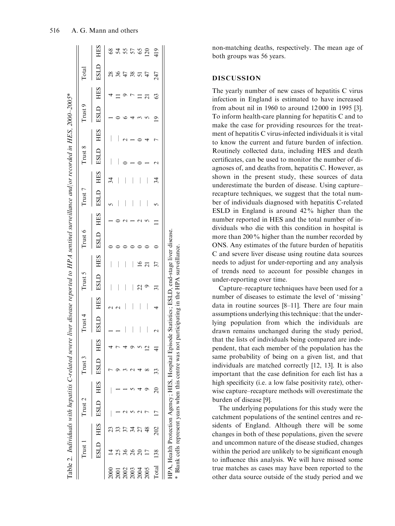|       | $Trust$ 1 |     | Trust 2 |          | Trust 3                    |   | Trust 4  | Trust 5 |    | Trust 6                                      | Trust 7 |    | Trust 8 | Trust 9 |   | $\Gamma$ otal |     |
|-------|-----------|-----|---------|----------|----------------------------|---|----------|---------|----|----------------------------------------------|---------|----|---------|---------|---|---------------|-----|
|       |           |     |         |          | ESLD HES ESLD HES ESLD HES |   | ESLD HES |         |    | ESLD HES ESLD HES ESLD HES ESLD HES ESLD HES |         |    |         |         |   | <b>ESLD</b>   | HES |
|       |           |     |         |          |                            |   |          |         |    |                                              |         | 34 |         |         |   | 28            |     |
| 2001  |           |     |         |          |                            |   |          |         |    |                                              |         |    |         |         |   | 36            | 54  |
|       |           |     |         |          |                            |   |          |         |    |                                              |         |    |         |         |   | Ĺ             | 55  |
|       |           |     |         |          |                            |   |          |         |    |                                              |         |    |         |         |   | 38            |     |
|       |           |     |         |          |                            |   |          |         |    |                                              |         |    |         |         |   |               |     |
| 2005  |           |     |         |          |                            |   |          |         |    |                                              |         |    |         |         |   |               | 120 |
| Total | 138       | 202 |         | $\Omega$ | 33                         | 4 |          |         | 37 |                                              |         | 34 |         |         | Q | 247           | 419 |

non-matching deaths, respectively. The mean age of both groups was 56 years.

# DISCUSSION

The yearly number of new cases of hepatitis C virus infection in England is estimated to have increased from about nil in 1960 to around 12 000 in 1995 [3]. To inform health-care planning for hepatitis C and to make the case for providing resources for the treatment of hepatitis C virus-infected individuals it is vital to know the current and future burden of infection. Routinely collected data, including HES and death certificates, can be used to monitor the number of diagnoses of, and deaths from, hepatitis C. However, as shown in the present study, these sources of data underestimate the burden of disease. Using capture– recapture techniques, we suggest that the total number of individuals diagnosed with hepatitis C-related ESLD in England is around 42% higher than the number reported in HES and the total number of individuals who die with this condition in hospital is more than 200% higher than the number recorded by ONS. Any estimates of the future burden of hepatitis C and severe liver disease using routine data sources needs to adjust for under-reporting and any analysis of trends need to account for possible changes in under-reporting over time.

Capture–recapture techniques have been used for a number of diseases to estimate the level of 'missing' data in routine sources [8–11]. There are four main assumptions underlying this technique: that the underlying population from which the individuals are drawn remains unchanged during the study period, that the lists of individuals being compared are independent, that each member of the population has the same probability of being on a given list, and that individuals are matched correctly [12, 13]. It is also important that the case definition for each list has a high specificity (i.e. a low false positivity rate), otherwise capture–recapture methods will overestimate the burden of disease [9].

The underlying populations for this study were the catchment populations of the sentinel centres and residents of England. Although there will be some changes in both of these populations, given the severe and uncommon nature of the disease studied, changes within the period are unlikely to be significant enough to influence this analysis. We will have missed some true matches as cases may have been reported to the other data source outside of the study period and we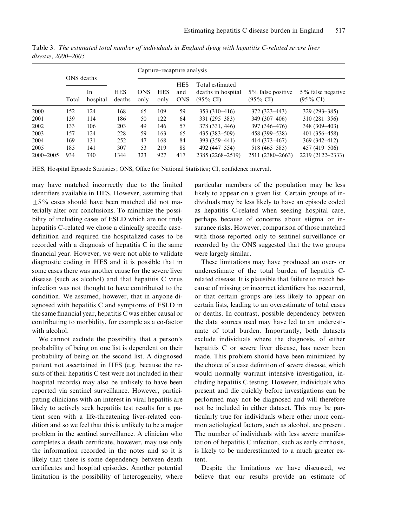|               |                     |                |                      | Capture–recapture analysis |                    |                                 |                                                              |                                             |                                          |
|---------------|---------------------|----------------|----------------------|----------------------------|--------------------|---------------------------------|--------------------------------------------------------------|---------------------------------------------|------------------------------------------|
|               | ONS deaths<br>Total | In<br>hospital | <b>HES</b><br>deaths | <b>ONS</b><br>only         | <b>HES</b><br>only | <b>HES</b><br>and<br><b>ONS</b> | Total estimated<br>deaths in hospital<br>$(95\% \text{ CI})$ | $5\%$ false positive<br>$(95\% \text{ CI})$ | 5% false negative<br>$(95\% \text{ CI})$ |
| 2000          | 152                 | 124            | 168                  | 65                         | 109                | 59                              | $353(310-416)$                                               | 372 (323–443)                               | $329(293 - 385)$                         |
| 2001          | 139                 | 114            | 186                  | 50                         | 122                | 64                              | $331(295 - 383)$                                             | 349 (307–406)                               | $310(281-356)$                           |
| 2002          | 133                 | 106            | 203                  | 49                         | 146                | 57                              | 378 (331, 446)                                               | 397 (346–476)                               | $348(309 - 403)$                         |
| 2003          | 157                 | 124            | 228                  | 59                         | 163                | 65                              | $435(383 - 509)$                                             | 458 (399–538)                               | 401 (356–458)                            |
| 2004          | 169                 | 131            | 252                  | 47                         | 168                | 84                              | 393 (359–441)                                                | 414 (373–467)                               | 369 (342–412)                            |
| 2005          | 185                 | 141            | 307                  | 53                         | 219                | 88                              | 492 (447–554)                                                | 518 (465–585)                               | $457(419-506)$                           |
| $2000 - 2005$ | 934                 | 740            | 1344                 | 323                        | 927                | 417                             | 2385 (2268-2519)                                             | 2511 (2380–2663)                            | 2219 (2122–2333)                         |

Table 3. The estimated total number of individuals in England dying with hepatitis C-related severe liver disease, 2000–2005

HES, Hospital Episode Statistics; ONS, Office for National Statistics; CI, confidence interval.

may have matched incorrectly due to the limited identifiers available in HES. However, assuming that  $\pm$ 5% cases should have been matched did not materially alter our conclusions. To minimize the possibility of including cases of ESLD which are not truly hepatitis C-related we chose a clinically specific casedefinition and required the hospitalized cases to be recorded with a diagnosis of hepatitis C in the same financial year. However, we were not able to validate diagnostic coding in HES and it is possible that in some cases there was another cause for the severe liver disease (such as alcohol) and that hepatitis C virus infection was not thought to have contributed to the condition. We assumed, however, that in anyone diagnosed with hepatitis C and symptoms of ESLD in the same financial year, hepatitis C was either causal or contributing to morbidity, for example as a co-factor with alcohol.

We cannot exclude the possibility that a person's probability of being on one list is dependent on their probability of being on the second list. A diagnosed patient not ascertained in HES (e.g. because the results of their hepatitis C test were not included in their hospital records) may also be unlikely to have been reported via sentinel surveillance. However, participating clinicians with an interest in viral hepatitis are likely to actively seek hepatitis test results for a patient seen with a life-threatening liver-related condition and so we feel that this is unlikely to be a major problem in the sentinel surveillance. A clinician who completes a death certificate, however, may use only the information recorded in the notes and so it is likely that there is some dependency between death certificates and hospital episodes. Another potential limitation is the possibility of heterogeneity, where particular members of the population may be less likely to appear on a given list. Certain groups of individuals may be less likely to have an episode coded as hepatitis C-related when seeking hospital care, perhaps because of concerns about stigma or insurance risks. However, comparison of those matched with those reported only to sentinel surveillance or recorded by the ONS suggested that the two groups were largely similar.

These limitations may have produced an over- or underestimate of the total burden of hepatitis Crelated disease. It is plausible that failure to match because of missing or incorrect identifiers has occurred, or that certain groups are less likely to appear on certain lists, leading to an overestimate of total cases or deaths. In contrast, possible dependency between the data sources used may have led to an underestimate of total burden. Importantly, both datasets exclude individuals where the diagnosis, of either hepatitis C or severe liver disease, has never been made. This problem should have been minimized by the choice of a case definition of severe disease, which would normally warrant intensive investigation, including hepatitis C testing. However, individuals who present and die quickly before investigations can be performed may not be diagnosed and will therefore not be included in either dataset. This may be particularly true for individuals where other more common aetiological factors, such as alcohol, are present. The number of individuals with less severe manifestation of hepatitis C infection, such as early cirrhosis, is likely to be underestimated to a much greater extent.

Despite the limitations we have discussed, we believe that our results provide an estimate of